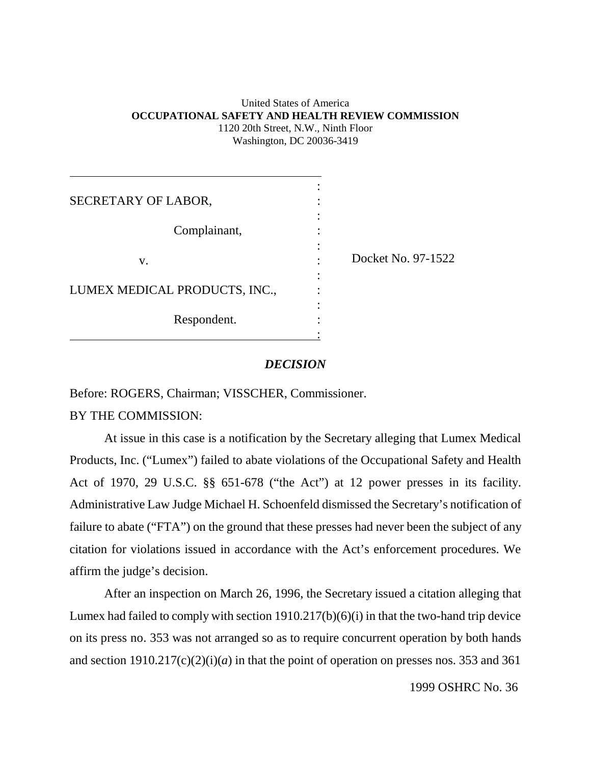#### United States of America **OCCUPATIONAL SAFETY AND HEALTH REVIEW COMMISSION** 1120 20th Street, N.W., Ninth Floor Washington, DC 20036-3419

| SECRETARY OF LABOR,           |                    |
|-------------------------------|--------------------|
| Complainant,                  |                    |
| v.                            | Docket No. 97-1522 |
| LUMEX MEDICAL PRODUCTS, INC., |                    |
| Respondent.                   |                    |

#### *DECISION*

Before: ROGERS, Chairman; VISSCHER, Commissioner.

BY THE COMMISSION:

At issue in this case is a notification by the Secretary alleging that Lumex Medical Products, Inc. ("Lumex") failed to abate violations of the Occupational Safety and Health Act of 1970, 29 U.S.C. §§ 651-678 ("the Act") at 12 power presses in its facility. Administrative Law Judge Michael H. Schoenfeld dismissed the Secretary's notification of failure to abate ("FTA") on the ground that these presses had never been the subject of any citation for violations issued in accordance with the Act's enforcement procedures. We affirm the judge's decision.

After an inspection on March 26, 1996, the Secretary issued a citation alleging that Lumex had failed to comply with section 1910.217(b)(6)(i) in that the two-hand trip device on its press no. 353 was not arranged so as to require concurrent operation by both hands and section  $1910.217(c)(2)(i)(a)$  in that the point of operation on presses nos. 353 and 361

1999 OSHRC No. 36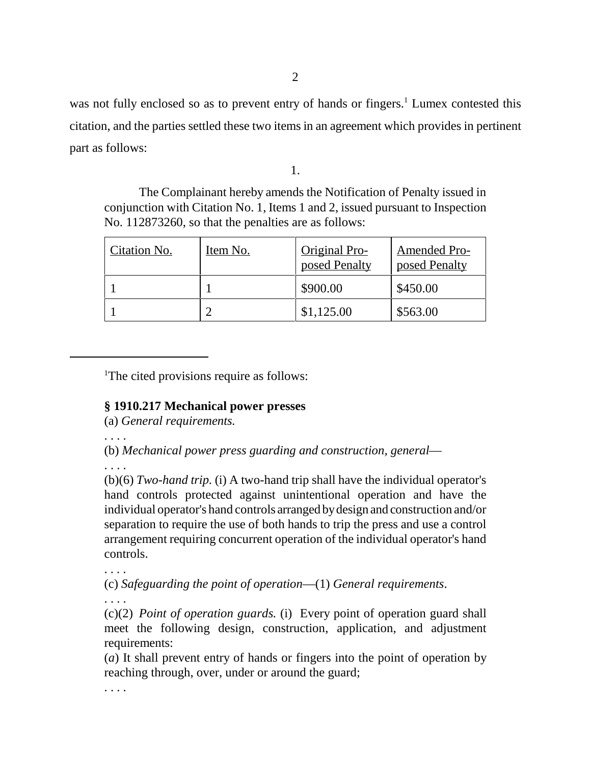was not fully enclosed so as to prevent entry of hands or fingers.<sup>1</sup> Lumex contested this citation, and the parties settled these two items in an agreement which provides in pertinent part as follows:

1.

The Complainant hereby amends the Notification of Penalty issued in conjunction with Citation No. 1, Items 1 and 2, issued pursuant to Inspection No. 112873260, so that the penalties are as follows:

| Citation No. | Item No. | Original Pro-<br>posed Penalty | <b>Amended Pro-</b><br>posed Penalty |
|--------------|----------|--------------------------------|--------------------------------------|
|              |          | \$900.00                       | \$450.00                             |
|              |          | \$1,125.00                     | \$563.00                             |

<sup>1</sup>The cited provisions require as follows:

# **§ 1910.217 Mechanical power presses**

(a) *General requirements.*

. . . .

(b) *Mechanical power press guarding and construction, general*—

. . . .

(b)(6) *Two-hand trip.* (i) A two-hand trip shall have the individual operator's hand controls protected against unintentional operation and have the individual operator's hand controls arranged by design and construction and/or separation to require the use of both hands to trip the press and use a control arrangement requiring concurrent operation of the individual operator's hand controls.

(c) *Safeguarding the point of operation*—(1) *General requirements*.

. . . .

(c)(2) *Point of operation guards.* (i) Every point of operation guard shall meet the following design, construction, application, and adjustment requirements:

(*a*) It shall prevent entry of hands or fingers into the point of operation by reaching through, over, under or around the guard;

. . . .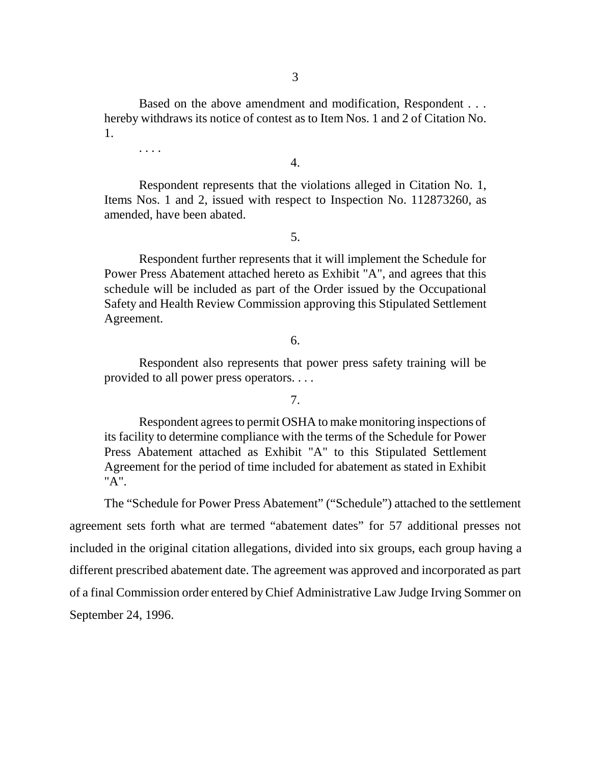Based on the above amendment and modification, Respondent . . . hereby withdraws its notice of contest as to Item Nos. 1 and 2 of Citation No. 1.

. . . .

4.

Respondent represents that the violations alleged in Citation No. 1, Items Nos. 1 and 2, issued with respect to Inspection No. 112873260, as amended, have been abated.

### 5.

Respondent further represents that it will implement the Schedule for Power Press Abatement attached hereto as Exhibit "A", and agrees that this schedule will be included as part of the Order issued by the Occupational Safety and Health Review Commission approving this Stipulated Settlement Agreement.

## 6.

Respondent also represents that power press safety training will be provided to all power press operators. . . .

### 7.

Respondent agrees to permit OSHA to make monitoring inspections of its facility to determine compliance with the terms of the Schedule for Power Press Abatement attached as Exhibit "A" to this Stipulated Settlement Agreement for the period of time included for abatement as stated in Exhibit "A".

The "Schedule for Power Press Abatement" ("Schedule") attached to the settlement agreement sets forth what are termed "abatement dates" for 57 additional presses not included in the original citation allegations, divided into six groups, each group having a different prescribed abatement date. The agreement was approved and incorporated as part of a final Commission order entered by Chief Administrative Law Judge Irving Sommer on September 24, 1996.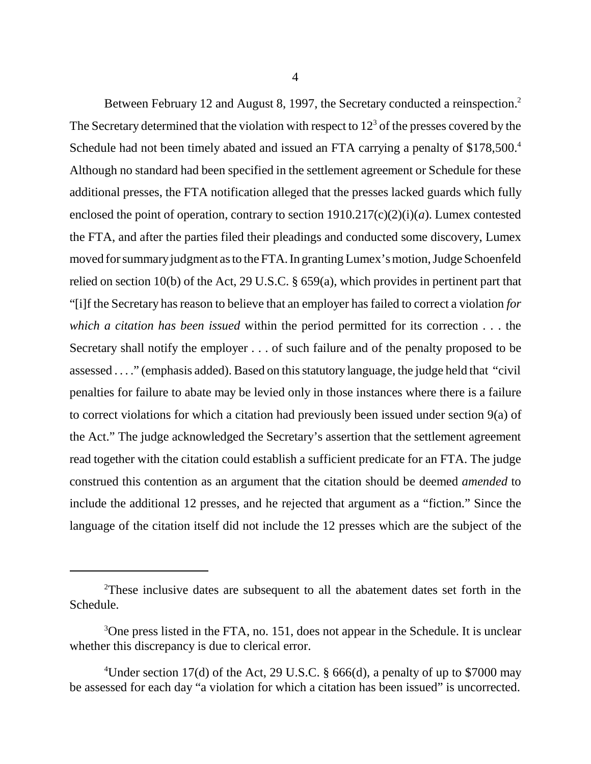Between February 12 and August 8, 1997, the Secretary conducted a reinspection.<sup>2</sup> The Secretary determined that the violation with respect to  $12<sup>3</sup>$  of the presses covered by the Schedule had not been timely abated and issued an FTA carrying a penalty of \$178,500.<sup>4</sup> Although no standard had been specified in the settlement agreement or Schedule for these additional presses, the FTA notification alleged that the presses lacked guards which fully enclosed the point of operation, contrary to section 1910.217(c)(2)(i)(*a*). Lumex contested the FTA, and after the parties filed their pleadings and conducted some discovery, Lumex moved for summary judgment as to the FTA. In granting Lumex's motion, Judge Schoenfeld relied on section 10(b) of the Act, 29 U.S.C. § 659(a), which provides in pertinent part that "[i]f the Secretary has reason to believe that an employer has failed to correct a violation *for which a citation has been issued* within the period permitted for its correction . . . the Secretary shall notify the employer . . . of such failure and of the penalty proposed to be assessed . . . ." (emphasis added). Based on this statutory language, the judge held that "civil penalties for failure to abate may be levied only in those instances where there is a failure to correct violations for which a citation had previously been issued under section 9(a) of the Act." The judge acknowledged the Secretary's assertion that the settlement agreement read together with the citation could establish a sufficient predicate for an FTA. The judge construed this contention as an argument that the citation should be deemed *amended* to include the additional 12 presses, and he rejected that argument as a "fiction." Since the language of the citation itself did not include the 12 presses which are the subject of the

<sup>&</sup>lt;sup>2</sup>These inclusive dates are subsequent to all the abatement dates set forth in the Schedule.

<sup>&</sup>lt;sup>3</sup>One press listed in the FTA, no. 151, does not appear in the Schedule. It is unclear whether this discrepancy is due to clerical error.

<sup>&</sup>lt;sup>4</sup>Under section 17(d) of the Act, 29 U.S.C. § 666(d), a penalty of up to \$7000 may be assessed for each day "a violation for which a citation has been issued" is uncorrected.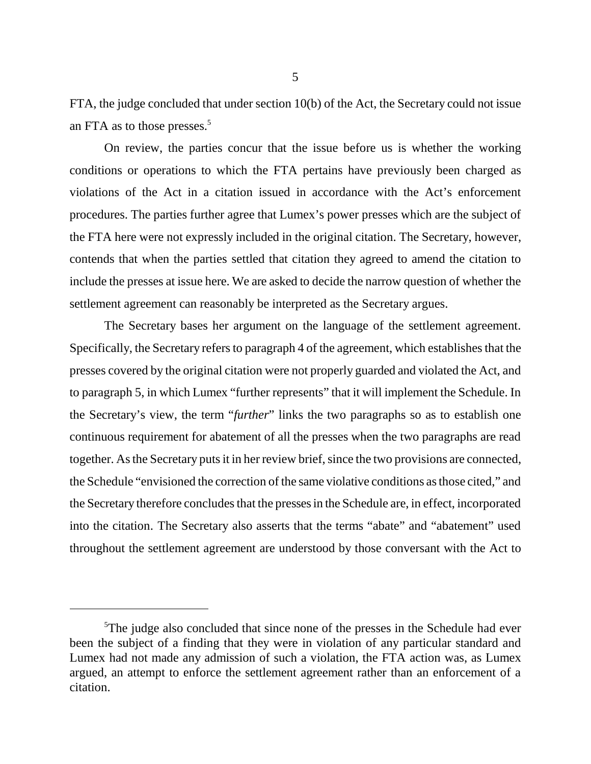FTA, the judge concluded that under section 10(b) of the Act, the Secretary could not issue an FTA as to those presses.<sup>5</sup>

On review, the parties concur that the issue before us is whether the working conditions or operations to which the FTA pertains have previously been charged as violations of the Act in a citation issued in accordance with the Act's enforcement procedures. The parties further agree that Lumex's power presses which are the subject of the FTA here were not expressly included in the original citation. The Secretary, however, contends that when the parties settled that citation they agreed to amend the citation to include the presses at issue here. We are asked to decide the narrow question of whether the settlement agreement can reasonably be interpreted as the Secretary argues.

The Secretary bases her argument on the language of the settlement agreement. Specifically, the Secretary refers to paragraph 4 of the agreement, which establishes that the presses covered by the original citation were not properly guarded and violated the Act, and to paragraph 5, in which Lumex "further represents" that it will implement the Schedule. In the Secretary's view, the term "*further*" links the two paragraphs so as to establish one continuous requirement for abatement of all the presses when the two paragraphs are read together. As the Secretary puts it in her review brief, since the two provisions are connected, the Schedule "envisioned the correction of the same violative conditions as those cited," and the Secretary therefore concludes that the presses in the Schedule are, in effect, incorporated into the citation. The Secretary also asserts that the terms "abate" and "abatement" used throughout the settlement agreement are understood by those conversant with the Act to

<sup>&</sup>lt;sup>5</sup>The judge also concluded that since none of the presses in the Schedule had ever been the subject of a finding that they were in violation of any particular standard and Lumex had not made any admission of such a violation, the FTA action was, as Lumex argued, an attempt to enforce the settlement agreement rather than an enforcement of a citation.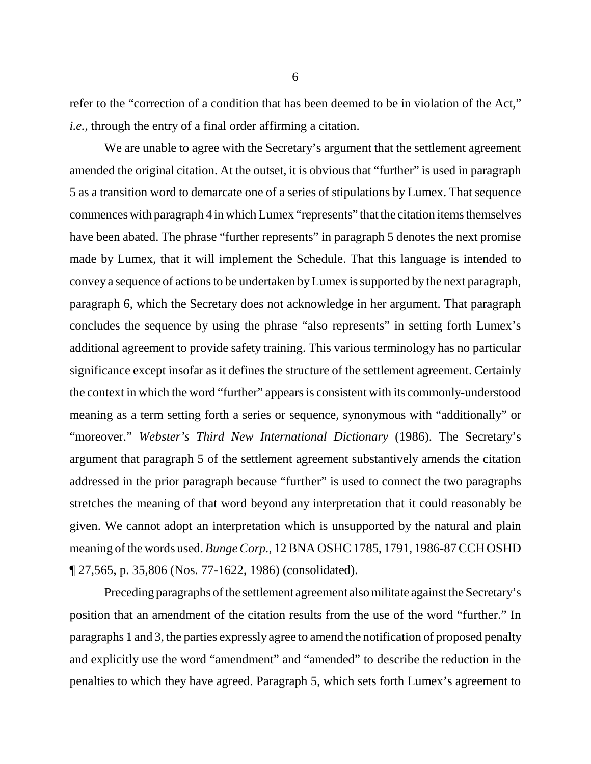refer to the "correction of a condition that has been deemed to be in violation of the Act," *i.e.*, through the entry of a final order affirming a citation.

We are unable to agree with the Secretary's argument that the settlement agreement amended the original citation. At the outset, it is obvious that "further" is used in paragraph 5 as a transition word to demarcate one of a series of stipulations by Lumex. That sequence commences with paragraph 4 in which Lumex "represents" that the citation items themselves have been abated. The phrase "further represents" in paragraph 5 denotes the next promise made by Lumex, that it will implement the Schedule. That this language is intended to convey a sequence of actions to be undertaken by Lumex is supported by the next paragraph, paragraph 6, which the Secretary does not acknowledge in her argument. That paragraph concludes the sequence by using the phrase "also represents" in setting forth Lumex's additional agreement to provide safety training. This various terminology has no particular significance except insofar as it defines the structure of the settlement agreement. Certainly the context in which the word "further" appears is consistent with its commonly-understood meaning as a term setting forth a series or sequence, synonymous with "additionally" or "moreover." *Webster's Third New International Dictionary* (1986). The Secretary's argument that paragraph 5 of the settlement agreement substantively amends the citation addressed in the prior paragraph because "further" is used to connect the two paragraphs stretches the meaning of that word beyond any interpretation that it could reasonably be given. We cannot adopt an interpretation which is unsupported by the natural and plain meaning of the words used. *Bunge Corp.*, 12 BNA OSHC 1785, 1791, 1986-87 CCH OSHD ¶ 27,565, p. 35,806 (Nos. 77-1622, 1986) (consolidated).

Preceding paragraphs of the settlement agreement also militate against the Secretary's position that an amendment of the citation results from the use of the word "further." In paragraphs 1 and 3, the parties expressly agree to amend the notification of proposed penalty and explicitly use the word "amendment" and "amended" to describe the reduction in the penalties to which they have agreed. Paragraph 5, which sets forth Lumex's agreement to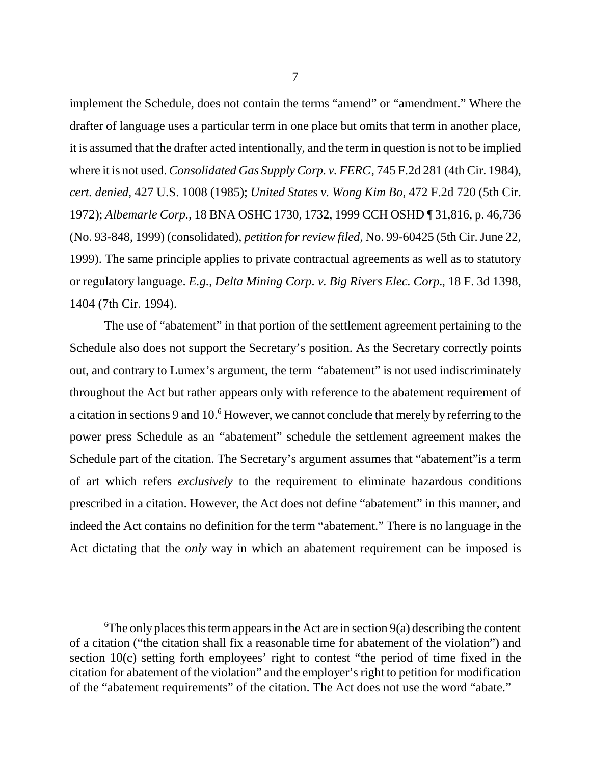implement the Schedule, does not contain the terms "amend" or "amendment." Where the drafter of language uses a particular term in one place but omits that term in another place, it is assumed that the drafter acted intentionally, and the term in question is not to be implied where it is not used. *Consolidated Gas Supply Corp. v. FERC*, 745 F.2d 281 (4th Cir. 1984), *cert. denied*, 427 U.S. 1008 (1985); *United States v. Wong Kim Bo*, 472 F.2d 720 (5th Cir. 1972); *Albemarle Corp.*, 18 BNA OSHC 1730, 1732, 1999 CCH OSHD ¶ 31,816, p. 46,736 (No. 93-848, 1999) (consolidated), *petition for review filed*, No. 99-60425 (5th Cir. June 22, 1999). The same principle applies to private contractual agreements as well as to statutory or regulatory language. *E.g.*, *Delta Mining Corp. v. Big Rivers Elec. Corp.*, 18 F. 3d 1398, 1404 (7th Cir. 1994).

The use of "abatement" in that portion of the settlement agreement pertaining to the Schedule also does not support the Secretary's position. As the Secretary correctly points out, and contrary to Lumex's argument, the term "abatement" is not used indiscriminately throughout the Act but rather appears only with reference to the abatement requirement of a citation in sections 9 and 10.<sup>6</sup> However, we cannot conclude that merely by referring to the power press Schedule as an "abatement" schedule the settlement agreement makes the Schedule part of the citation. The Secretary's argument assumes that "abatement"is a term of art which refers *exclusively* to the requirement to eliminate hazardous conditions prescribed in a citation. However, the Act does not define "abatement" in this manner, and indeed the Act contains no definition for the term "abatement." There is no language in the Act dictating that the *only* way in which an abatement requirement can be imposed is

 ${}^6$ The only places this term appears in the Act are in section 9(a) describing the content of a citation ("the citation shall fix a reasonable time for abatement of the violation") and section 10(c) setting forth employees' right to contest "the period of time fixed in the citation for abatement of the violation" and the employer's right to petition for modification of the "abatement requirements" of the citation. The Act does not use the word "abate."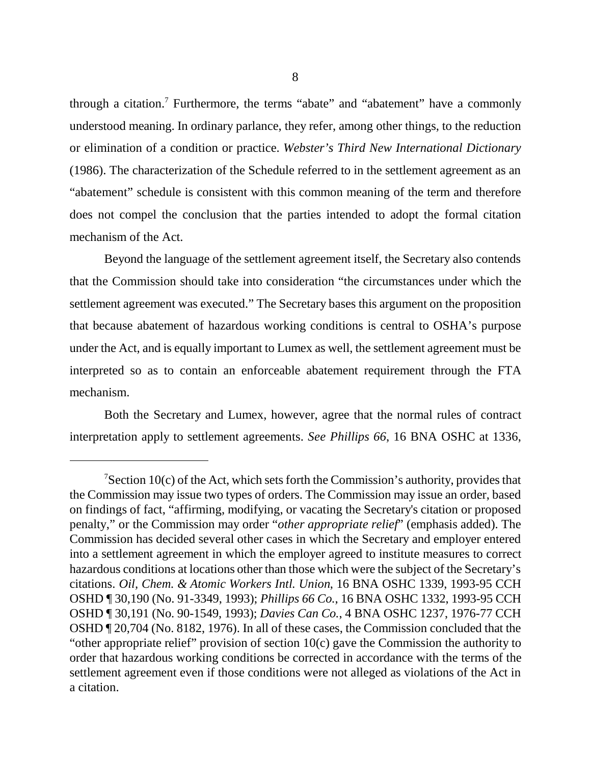through a citation.<sup>7</sup> Furthermore, the terms "abate" and "abatement" have a commonly understood meaning. In ordinary parlance, they refer, among other things, to the reduction or elimination of a condition or practice. *Webster's Third New International Dictionary* (1986). The characterization of the Schedule referred to in the settlement agreement as an "abatement" schedule is consistent with this common meaning of the term and therefore does not compel the conclusion that the parties intended to adopt the formal citation mechanism of the Act.

Beyond the language of the settlement agreement itself, the Secretary also contends that the Commission should take into consideration "the circumstances under which the settlement agreement was executed." The Secretary bases this argument on the proposition that because abatement of hazardous working conditions is central to OSHA's purpose under the Act, and is equally important to Lumex as well, the settlement agreement must be interpreted so as to contain an enforceable abatement requirement through the FTA mechanism.

Both the Secretary and Lumex, however, agree that the normal rules of contract interpretation apply to settlement agreements. *See Phillips 66*, 16 BNA OSHC at 1336,

 $7$ Section 10(c) of the Act, which sets forth the Commission's authority, provides that the Commission may issue two types of orders. The Commission may issue an order, based on findings of fact, "affirming, modifying, or vacating the Secretary's citation or proposed penalty," or the Commission may order "*other appropriate relief*" (emphasis added). The Commission has decided several other cases in which the Secretary and employer entered into a settlement agreement in which the employer agreed to institute measures to correct hazardous conditions at locations other than those which were the subject of the Secretary's citations. *Oil, Chem. & Atomic Workers Intl. Union*, 16 BNA OSHC 1339, 1993-95 CCH OSHD ¶ 30,190 (No. 91-3349, 1993); *Phillips 66 Co.*, 16 BNA OSHC 1332, 1993-95 CCH OSHD ¶ 30,191 (No. 90-1549, 1993); *Davies Can Co.*, 4 BNA OSHC 1237, 1976-77 CCH OSHD ¶ 20,704 (No. 8182, 1976). In all of these cases, the Commission concluded that the "other appropriate relief" provision of section 10(c) gave the Commission the authority to order that hazardous working conditions be corrected in accordance with the terms of the settlement agreement even if those conditions were not alleged as violations of the Act in a citation.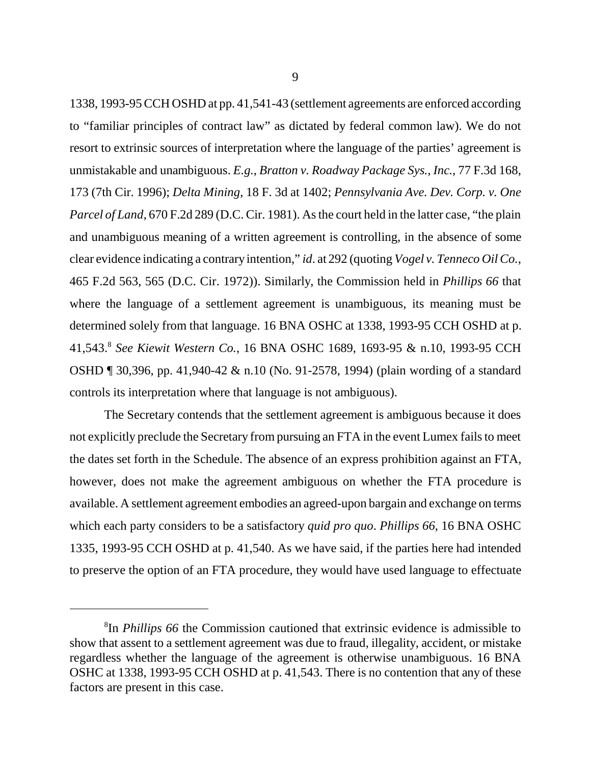1338, 1993-95 CCH OSHD at pp. 41,541-43 (settlement agreements are enforced according to "familiar principles of contract law" as dictated by federal common law). We do not resort to extrinsic sources of interpretation where the language of the parties' agreement is unmistakable and unambiguous. *E.g.*, *Bratton v. Roadway Package Sys., Inc.*, 77 F.3d 168, 173 (7th Cir. 1996); *Delta Mining*, 18 F. 3d at 1402; *Pennsylvania Ave. Dev. Corp. v. One Parcel of Land*, 670 F.2d 289 (D.C. Cir. 1981). As the court held in the latter case, "the plain and unambiguous meaning of a written agreement is controlling, in the absence of some clear evidence indicating a contrary intention," *id*. at 292 (quoting *Vogel v. Tenneco Oil Co.*, 465 F.2d 563, 565 (D.C. Cir. 1972)). Similarly, the Commission held in *Phillips 66* that where the language of a settlement agreement is unambiguous, its meaning must be determined solely from that language. 16 BNA OSHC at 1338, 1993-95 CCH OSHD at p. 41,543.8 *See Kiewit Western Co.*, 16 BNA OSHC 1689, 1693-95 & n.10, 1993-95 CCH OSHD ¶ 30,396, pp. 41,940-42 & n.10 (No. 91-2578, 1994) (plain wording of a standard controls its interpretation where that language is not ambiguous).

The Secretary contends that the settlement agreement is ambiguous because it does not explicitly preclude the Secretary from pursuing an FTA in the event Lumex fails to meet the dates set forth in the Schedule. The absence of an express prohibition against an FTA, however, does not make the agreement ambiguous on whether the FTA procedure is available. A settlement agreement embodies an agreed-upon bargain and exchange on terms which each party considers to be a satisfactory *quid pro quo*. *Phillips 66*, 16 BNA OSHC 1335, 1993-95 CCH OSHD at p. 41,540. As we have said, if the parties here had intended to preserve the option of an FTA procedure, they would have used language to effectuate

<sup>8</sup> In *Phillips 66* the Commission cautioned that extrinsic evidence is admissible to show that assent to a settlement agreement was due to fraud, illegality, accident, or mistake regardless whether the language of the agreement is otherwise unambiguous. 16 BNA OSHC at 1338, 1993-95 CCH OSHD at p. 41,543. There is no contention that any of these factors are present in this case.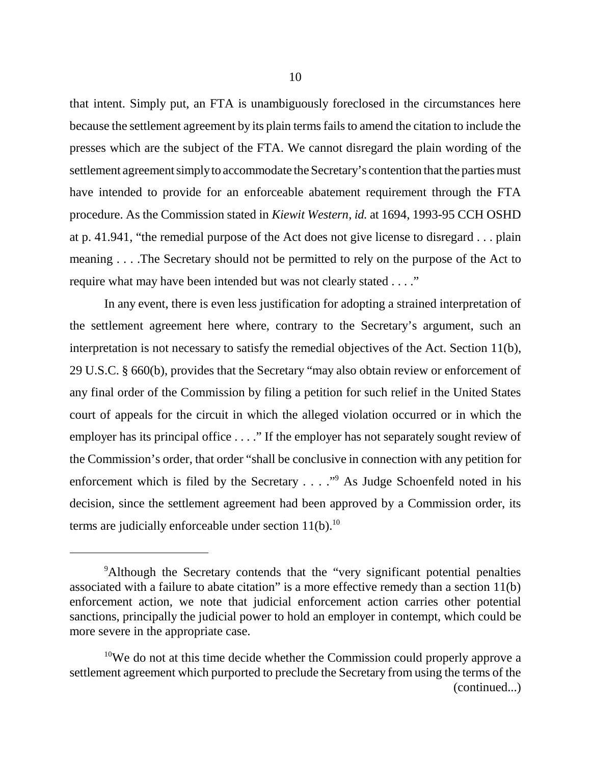that intent. Simply put, an FTA is unambiguously foreclosed in the circumstances here because the settlement agreement by its plain terms fails to amend the citation to include the presses which are the subject of the FTA. We cannot disregard the plain wording of the settlement agreement simply to accommodate the Secretary's contention that the parties must have intended to provide for an enforceable abatement requirement through the FTA procedure. As the Commission stated in *Kiewit Western*, *id.* at 1694, 1993-95 CCH OSHD at p. 41.941, "the remedial purpose of the Act does not give license to disregard . . . plain meaning . . . .The Secretary should not be permitted to rely on the purpose of the Act to require what may have been intended but was not clearly stated . . . ."

In any event, there is even less justification for adopting a strained interpretation of the settlement agreement here where, contrary to the Secretary's argument, such an interpretation is not necessary to satisfy the remedial objectives of the Act. Section 11(b), 29 U.S.C. § 660(b), provides that the Secretary "may also obtain review or enforcement of any final order of the Commission by filing a petition for such relief in the United States court of appeals for the circuit in which the alleged violation occurred or in which the employer has its principal office . . . ." If the employer has not separately sought review of the Commission's order, that order "shall be conclusive in connection with any petition for enforcement which is filed by the Secretary . . . . "<sup>9</sup> As Judge Schoenfeld noted in his decision, since the settlement agreement had been approved by a Commission order, its terms are judicially enforceable under section  $11(b)$ .<sup>10</sup>

<sup>&</sup>lt;sup>9</sup>Although the Secretary contends that the "very significant potential penalties associated with a failure to abate citation" is a more effective remedy than a section 11(b) enforcement action, we note that judicial enforcement action carries other potential sanctions, principally the judicial power to hold an employer in contempt, which could be more severe in the appropriate case.

<sup>&</sup>lt;sup>10</sup>We do not at this time decide whether the Commission could properly approve a settlement agreement which purported to preclude the Secretary from using the terms of the (continued...)